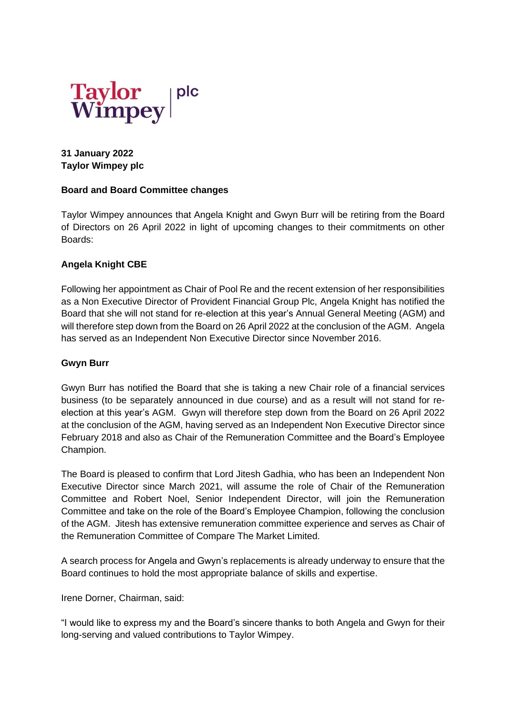

## **31 January 2022 Taylor Wimpey plc**

#### **Board and Board Committee changes**

Taylor Wimpey announces that Angela Knight and Gwyn Burr will be retiring from the Board of Directors on 26 April 2022 in light of upcoming changes to their commitments on other Boards:

## **Angela Knight CBE**

Following her appointment as Chair of Pool Re and the recent extension of her responsibilities as a Non Executive Director of Provident Financial Group Plc, Angela Knight has notified the Board that she will not stand for re-election at this year's Annual General Meeting (AGM) and will therefore step down from the Board on 26 April 2022 at the conclusion of the AGM. Angela has served as an Independent Non Executive Director since November 2016.

#### **Gwyn Burr**

Gwyn Burr has notified the Board that she is taking a new Chair role of a financial services business (to be separately announced in due course) and as a result will not stand for reelection at this year's AGM. Gwyn will therefore step down from the Board on 26 April 2022 at the conclusion of the AGM, having served as an Independent Non Executive Director since February 2018 and also as Chair of the Remuneration Committee and the Board's Employee Champion.

The Board is pleased to confirm that Lord Jitesh Gadhia, who has been an Independent Non Executive Director since March 2021, will assume the role of Chair of the Remuneration Committee and Robert Noel, Senior Independent Director, will join the Remuneration Committee and take on the role of the Board's Employee Champion, following the conclusion of the AGM. Jitesh has extensive remuneration committee experience and serves as Chair of the Remuneration Committee of Compare The Market Limited.

A search process for Angela and Gwyn's replacements is already underway to ensure that the Board continues to hold the most appropriate balance of skills and expertise.

Irene Dorner, Chairman, said:

"I would like to express my and the Board's sincere thanks to both Angela and Gwyn for their long-serving and valued contributions to Taylor Wimpey.